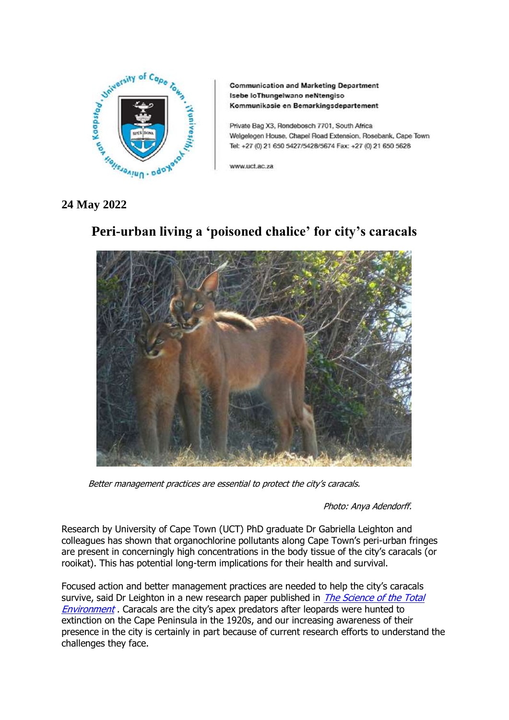

**Communication and Marketing Department** Isebe loThungelwano neNtengiso Kommunikasie en Bemarkingsdepartement

Private Bag X3, Rondebosch 7701, South Africa Welgelegen House, Chapel Road Extension, Rosebank, Cape Town Tel: +27 (0) 21 650 5427/5428/5674 Fax: +27 (0) 21 650 5628

www.uct.ac.za

## **24 May 2022**

# **Peri-urban living a 'poisoned chalice' for city's caracals**



Better management practices are essential to protect the city's caracals.

Photo: Anya Adendorff.

Research by University of Cape Town (UCT) PhD graduate Dr Gabriella Leighton and colleagues has shown that organochlorine pollutants along Cape Town's peri-urban fringes are present in concerningly high concentrations in the body tissue of the city's caracals (or rooikat). This has potential long-term implications for their health and survival.

Focused action and better management practices are needed to help the city's caracals survive, said Dr Leighton in a new research paper published in *The Science of the Total* [Environment](https://www.sciencedirect.com/science/article/abs/pii/S0048969722006738?dgcid=coauthor) . Caracals are the city's apex predators after leopards were hunted to extinction on the Cape Peninsula in the 1920s, and our increasing awareness of their presence in the city is certainly in part because of current research efforts to understand the challenges they face.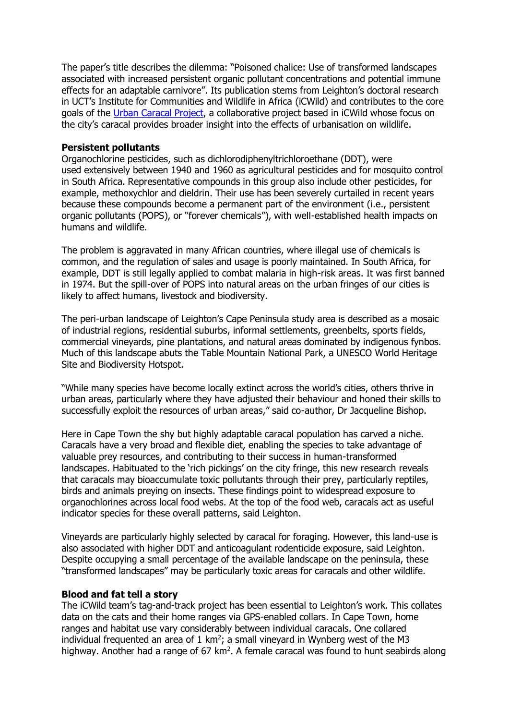The paper's title describes the dilemma: "Poisoned chalice: Use of transformed landscapes associated with increased persistent organic pollutant concentrations and potential immune effects for an adaptable carnivore". Its publication stems from Leighton's doctoral research in UCT's Institute for Communities and Wildlife in Africa (iCWild) and contributes to the core goals of the [Urban Caracal Project,](http://www.urbancaracal.org/) a collaborative project based in iCWild whose focus on the city's caracal provides broader insight into the effects of urbanisation on wildlife.

### **Persistent pollutants**

Organochlorine pesticides, such as dichlorodiphenyltrichloroethane (DDT), were used extensively between 1940 and 1960 as agricultural pesticides and for mosquito control in South Africa. Representative compounds in this group also include other pesticides, for example, methoxychlor and dieldrin. Their use has been severely curtailed in recent years because these compounds become a permanent part of the environment (i.e., persistent organic pollutants (POPS), or "forever chemicals"), with well-established health impacts on humans and wildlife.

The problem is aggravated in many African countries, where illegal use of chemicals is common, and the regulation of sales and usage is poorly maintained. In South Africa, for example, DDT is still legally applied to combat malaria in high-risk areas. It was first banned in 1974. But the spill-over of POPS into natural areas on the urban fringes of our cities is likely to affect humans, livestock and biodiversity.

The peri-urban landscape of Leighton's Cape Peninsula study area is described as a mosaic of industrial regions, residential suburbs, informal settlements, greenbelts, sports fields, commercial vineyards, pine plantations, and natural areas dominated by indigenous fynbos. Much of this landscape abuts the Table Mountain National Park, a UNESCO World Heritage Site and Biodiversity Hotspot.

"While many species have become locally extinct across the world's cities, others thrive in urban areas, particularly where they have adjusted their behaviour and honed their skills to successfully exploit the resources of urban areas," said co-author, Dr Jacqueline Bishop.

Here in Cape Town the shy but highly adaptable caracal population has carved a niche. Caracals have a very broad and flexible diet, enabling the species to take advantage of valuable prey resources, and contributing to their success in human-transformed landscapes. Habituated to the 'rich pickings' on the city fringe, this new research reveals that caracals may bioaccumulate toxic pollutants through their prey, particularly reptiles, birds and animals preying on insects. These findings point to widespread exposure to organochlorines across local food webs. At the top of the food web, caracals act as useful indicator species for these overall patterns, said Leighton.

Vineyards are particularly highly selected by caracal for foraging. However, this land-use is also associated with higher DDT and anticoagulant rodenticide exposure, said Leighton. Despite occupying a small percentage of the available landscape on the peninsula, these "transformed landscapes" may be particularly toxic areas for caracals and other wildlife.

### **Blood and fat tell a story**

The iCWild team's tag-and-track project has been essential to Leighton's work. This collates data on the cats and their home ranges via GPS-enabled collars. In Cape Town, home ranges and habitat use vary considerably between individual caracals. One collared individual frequented an area of  $1 \text{ km}^2$ ; a small vineyard in Wynberg west of the M3 highway. Another had a range of  $67 \text{ km}^2$ . A female caracal was found to hunt seabirds along